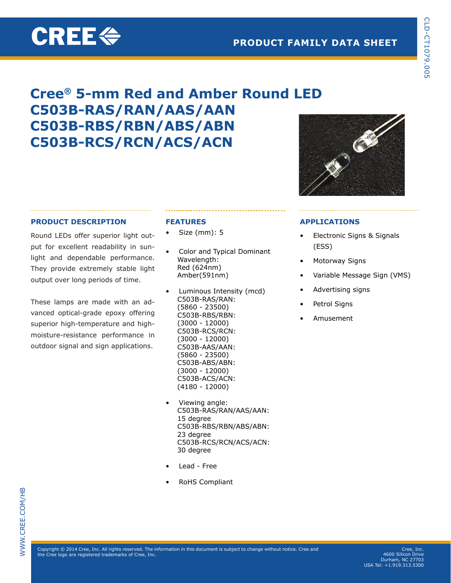# **CREE<sup>«</sup>**

# **PRODUCT FAMILY DATA SHEET**

# **Cree® 5-mm Red and Amber Round LED C503B-RAS/RAN/AAS/AAN C503B-RBS/RBN/ABS/ABN C503B-RCS/RCN/ACS/ACN**



# **PRODUCT DESCRIPTION**

Round LEDs offer superior light output for excellent readability in sunlight and dependable performance. They provide extremely stable light output over long periods of time.

These lamps are made with an advanced optical-grade epoxy offering superior high-temperature and highmoisture-resistance performance in outdoor signal and sign applications.

# **FEATURES**

- $Size (mm): 5$
- Color and Typical Dominant Wavelength: Red (624nm) Amber(591nm)
- Luminous Intensity (mcd) C503B-RAS/RAN: (5860 - 23500) C503B-RBS/RBN: (3000 - 12000) C503B-RCS/RCN: (3000 - 12000) C503B-AAS/AAN: (5860 - 23500) C503B-ABS/ABN: (3000 - 12000) C503B-ACS/ACN: (4180 - 12000)
- Viewing angle: C503B-RAS/RAN/AAS/AAN: 15 degree C503B-RBS/RBN/ABS/ABN: 23 degree C503B-RCS/RCN/ACS/ACN: 30 degree
- Lead Free
- **RoHS Compliant**

# **APPLICATIONS**

- Electronic Signs & Signals (ESS)
- Motorway Signs
- Variable Message Sign (VMS)
- Advertising signs
- Petrol Signs
- **Amusement**

 $\mathsf{Copyright} \textcircled {2014}$  Cree, Inc. All rights reserved. The information in this document is subject to change without notice. Cree and the Cree logo are registered trademarks of Cree, Inc.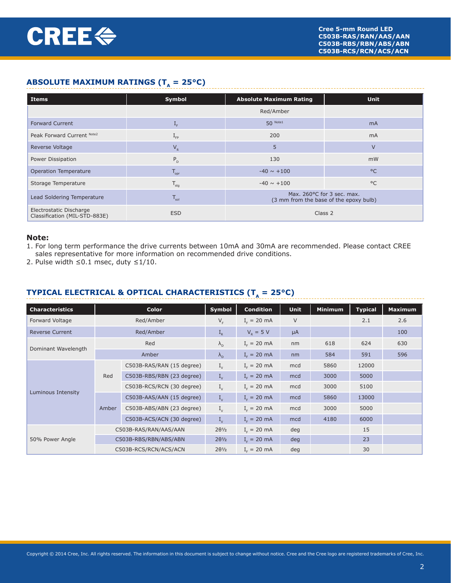# **ABSOLUTE MAXIMUM RATINGS (T<sub>a</sub> = 25°C)**

| Items                                                    | Symbol                    | <b>Absolute Maximum Rating</b>                                       | <b>Unit</b>    |  |  |
|----------------------------------------------------------|---------------------------|----------------------------------------------------------------------|----------------|--|--|
|                                                          |                           | Red/Amber                                                            |                |  |  |
| <b>Forward Current</b>                                   | $\mathbf{I}_{\mathrm{F}}$ | $50$ Note1                                                           | m <sub>A</sub> |  |  |
| Peak Forward Current Note2                               | $1_{FP}$                  | 200                                                                  | m <sub>A</sub> |  |  |
| Reverse Voltage                                          | $V_{R}$                   | 5                                                                    | $\vee$         |  |  |
| Power Dissipation                                        | $P_{D}$                   | 130                                                                  | mW             |  |  |
| Operation Temperature                                    | $T_{\text{opr}}$          | $-40 \sim +100$                                                      | $^{\circ}$ C   |  |  |
| Storage Temperature                                      | $T_{\text{stg}}$          | $-40 \sim +100$                                                      | $^{\circ}$ C   |  |  |
| Lead Soldering Temperature                               | $T_{\rm sol}$             | Max. 260°C for 3 sec. max.<br>(3 mm from the base of the epoxy bulb) |                |  |  |
| Electrostatic Discharge<br>Classification (MIL-STD-883E) | <b>ESD</b>                | Class 2                                                              |                |  |  |

#### **Note:**

- 1. For long term performance the drive currents between 10mA and 30mA are recommended. Please contact CREE sales representative for more information on recommended drive conditions.
- 2. Pulse width ≤0.1 msec, duty ≤1/10.

# **TYPICAL ELECTRICAL & OPTICAL CHARACTERISTICS (** $T_a = 25^{\circ}C$ **)**

| <b>Characteristics</b> |       | <b>Color</b>              | Symbol               | <b>Condition</b> | <b>Unit</b> | <b>Minimum</b> | <b>Typical</b> | <b>Maximum</b> |
|------------------------|-------|---------------------------|----------------------|------------------|-------------|----------------|----------------|----------------|
| Forward Voltage        |       | Red/Amber                 | $V_F$                | $I_{F} = 20$ mA  | $\vee$      |                | 2.1            | 2.6            |
| <b>Reverse Current</b> |       | Red/Amber                 | $I_R$                | $V_{p} = 5 V$    | $\mu A$     |                |                | 100            |
|                        |       | Red                       | $\lambda_{\rm n}$    | $I_{F} = 20$ mA  | nm          | 618            | 624            | 630            |
| Dominant Wavelength    |       | Amber                     | $\lambda_{\rm n}$    | $I_c = 20$ mA    | nm          | 584            | 591            | 596            |
|                        |       | C503B-RAS/RAN (15 degree) | $I_{v}$              | $I_c = 20$ mA    | mcd         | 5860           | 12000          |                |
|                        | Red   | C503B-RBS/RBN (23 degree) | $I_{v}$              | $I_c = 20$ mA    | mcd         | 3000           | 5000           |                |
|                        |       | C503B-RCS/RCN (30 degree) | $I_{v}$              | $I_c = 20$ mA    | mcd         | 3000           | 5100           |                |
| Luminous Intensity     |       | C503B-AAS/AAN (15 degree) | $I_{v}$              | $I_c = 20$ mA    | mcd         | 5860           | 13000          |                |
|                        | Amber | C503B-ABS/ABN (23 degree) | $I_{\nu}$            | $I_c = 20$ mA    | mcd         | 3000           | 5000           |                |
|                        |       | C503B-ACS/ACN (30 degree) | $I_{\nu}$            | $I_c = 20$ mA    | mcd         | 4180           | 6000           |                |
|                        |       | C503B-RAS/RAN/AAS/AAN     | $2\theta\frac{1}{2}$ | $I_c = 20$ mA    | deg         |                | 15             |                |
| 50% Power Angle        |       | C503B-RBS/RBN/ABS/ABN     | $2\theta\frac{1}{2}$ | $I_c = 20$ mA    | deg         |                | 23             |                |
|                        |       | C503B-RCS/RCN/ACS/ACN     | $2\theta\frac{1}{2}$ | $I_{F} = 20$ mA  | deg         |                | 30             |                |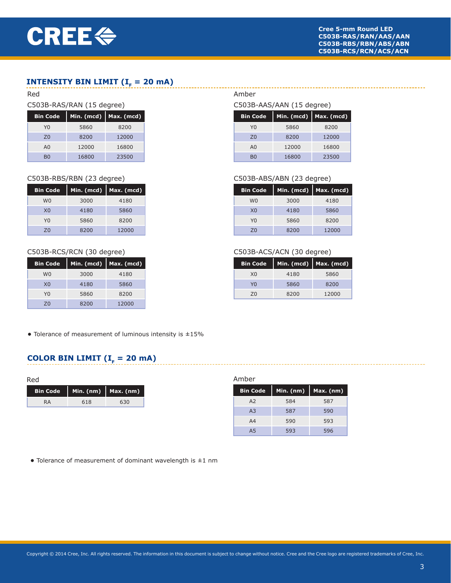# **INTENSITY BIN LIMIT (** $I<sub>F</sub> = 20$  **mA)**

#### Red

#### C503B-RAS/RAN (15 degree)

| <b>Bin Code</b> | Min. (mcd) | Max. (mcd) |
|-----------------|------------|------------|
| Y0              | 5860       | 8200       |
| 70              | 8200       | 12000      |
| A <sub>0</sub>  | 12000      | 16800      |
| вo              | 16800      | 23500      |

#### C503B-RBS/RBN (23 degree)

| <b>Bin Code</b> | Min. (mcd) | Max. (mcd) |
|-----------------|------------|------------|
| W <sub>0</sub>  | 3000       | 4180       |
| X <sub>0</sub>  | 4180       | 5860       |
| Y0              | 5860       | 8200       |
| 70              | 8200       | 12000      |

#### C503B-RCS/RCN (30 degree)

| <b>Bin Code</b> | Min. (mcd) | Max. (mcd) |
|-----------------|------------|------------|
| W <sub>0</sub>  | 3000       | 4180       |
| X <sub>0</sub>  | 4180       | 5860       |
| Y٥              | 5860       | 8200       |
| 70              | 8200       | 12000      |

# Amber

# C503B-AAS/AAN (15 degree)

| <b>Bin Code</b> | Min. (mcd) | Max. (mcd) |
|-----------------|------------|------------|
| YQ              | 5860       | 8200       |
| 70              | 8200       | 12000      |
| A <sub>0</sub>  | 12000      | 16800      |
| R٨              | 16800      | 23500      |

### C503B-ABS/ABN (23 degree)

| <b>Bin Code</b> | Min. (mcd) | Max. (mcd) |
|-----------------|------------|------------|
| W <sub>0</sub>  | 3000       | 4180       |
| X <sub>0</sub>  | 4180       | 5860       |
| Y0              | 5860       | 8200       |
| 70              | 8200       | 12000      |

#### C503B-ACS/ACN (30 degree)

| <b>Bin Code</b> | Min. (mcd) | Max. (mcd) |
|-----------------|------------|------------|
| X <sub>0</sub>  | 4180       | 5860       |
| YN              | 5860       | 8200       |
| 70              | 8200       | 12000      |

**•** Tolerance of measurement of luminous intensity is ±15%

# **COLOR BIN LIMIT (** $I<sub>F</sub> = 20$  **mA)**

| Red             |     |                       |
|-----------------|-----|-----------------------|
| <b>Bin Code</b> |     | Min. (nm)   Max. (nm) |
| <b>RA</b>       | 618 | 630                   |

#### Amber

| <b>Bin Code</b> | Min. $(nm)$ | $Max.$ (nm) |
|-----------------|-------------|-------------|
| A <sub>2</sub>  | 584         | 587         |
| A <sub>3</sub>  | 587         | 590         |
| A4              | 590         | 593         |
| A <sub>5</sub>  | 593         | 596         |

**•** Tolerance of measurement of dominant wavelength is ±1 nm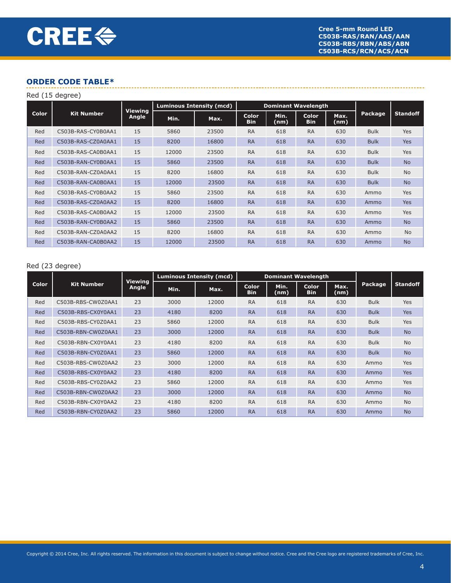|       | Red (15 degree)    |                         |       |                                 |                            |              |                            |              |             |                 |
|-------|--------------------|-------------------------|-------|---------------------------------|----------------------------|--------------|----------------------------|--------------|-------------|-----------------|
|       |                    |                         |       | <b>Luminous Intensity (mcd)</b> | <b>Dominant Wavelength</b> |              |                            |              |             |                 |
| Color | <b>Kit Number</b>  | <b>Viewing</b><br>Angle | Min.  | Max.                            | <b>Color</b><br><b>Bin</b> | Min.<br>(nm) | <b>Color</b><br><b>Bin</b> | Max.<br>(nm) | Package     | <b>Standoff</b> |
| Red   | C503B-RAS-CY0B0AA1 | 15                      | 5860  | 23500                           | <b>RA</b>                  | 618          | <b>RA</b>                  | 630          | <b>Bulk</b> | <b>Yes</b>      |
| Red   | C503B-RAS-CZ0A0AA1 | 15                      | 8200  | 16800                           | <b>RA</b>                  | 618          | <b>RA</b>                  | 630          | <b>Bulk</b> | <b>Yes</b>      |
| Red   | C503B-RAS-CA0B0AA1 | 15                      | 12000 | 23500                           | <b>RA</b>                  | 618          | <b>RA</b>                  | 630          | <b>Bulk</b> | Yes             |
| Red   | C503B-RAN-CY0B0AA1 | 15                      | 5860  | 23500                           | <b>RA</b>                  | 618          | <b>RA</b>                  | 630          | <b>Bulk</b> | <b>No</b>       |
| Red   | C503B-RAN-CZ0A0AA1 | 15                      | 8200  | 16800                           | <b>RA</b>                  | 618          | <b>RA</b>                  | 630          | <b>Bulk</b> | <b>No</b>       |
| Red   | C503B-RAN-CA0B0AA1 | 15                      | 12000 | 23500                           | <b>RA</b>                  | 618          | <b>RA</b>                  | 630          | <b>Bulk</b> | <b>No</b>       |
| Red   | C503B-RAS-CY0B0AA2 | 15                      | 5860  | 23500                           | <b>RA</b>                  | 618          | <b>RA</b>                  | 630          | Ammo        | Yes             |
| Red   | C503B-RAS-CZ0A0AA2 | 15                      | 8200  | 16800                           | <b>RA</b>                  | 618          | <b>RA</b>                  | 630          | Ammo        | <b>Yes</b>      |
| Red   | C503B-RAS-CA0B0AA2 | 15                      | 12000 | 23500                           | <b>RA</b>                  | 618          | <b>RA</b>                  | 630          | Ammo        | Yes             |
| Red   | C503B-RAN-CY0B0AA2 | 15                      | 5860  | 23500                           | <b>RA</b>                  | 618          | <b>RA</b>                  | 630          | Ammo        | <b>No</b>       |
| Red   | C503B-RAN-CZ0A0AA2 | 15                      | 8200  | 16800                           | <b>RA</b>                  | 618          | <b>RA</b>                  | 630          | Ammo        | <b>No</b>       |
| Red   | C503B-RAN-CA0B0AA2 | 15                      | 12000 | 23500                           | <b>RA</b>                  | 618          | <b>RA</b>                  | 630          | Ammo        | <b>No</b>       |

#### Red (23 degree)

|              |                    |                         |      | <b>Luminous Intensity (mcd)</b> | <b>Dominant Wavelength</b> |              |                            |              |             |                 |
|--------------|--------------------|-------------------------|------|---------------------------------|----------------------------|--------------|----------------------------|--------------|-------------|-----------------|
| <b>Color</b> | <b>Kit Number</b>  | <b>Viewing</b><br>Angle | Min. | Max.                            | <b>Color</b><br><b>Bin</b> | Min.<br>(nm) | <b>Color</b><br><b>Bin</b> | Max.<br>(nm) | Package     | <b>Standoff</b> |
| Red          | C503B-RBS-CW0Z0AA1 | 23                      | 3000 | 12000                           | <b>RA</b>                  | 618          | <b>RA</b>                  | 630          | <b>Bulk</b> | Yes             |
| <b>Red</b>   | C503B-RBS-CX0Y0AA1 | 23                      | 4180 | 8200                            | <b>RA</b>                  | 618          | <b>RA</b>                  | 630          | <b>Bulk</b> | <b>Yes</b>      |
| Red          | C503B-RBS-CY0Z0AA1 | 23                      | 5860 | 12000                           | <b>RA</b>                  | 618          | <b>RA</b>                  | 630          | <b>Bulk</b> | Yes             |
| <b>Red</b>   | C503B-RBN-CW0Z0AA1 | 23                      | 3000 | 12000                           | <b>RA</b>                  | 618          | <b>RA</b>                  | 630          | <b>Bulk</b> | <b>No</b>       |
| Red          | C503B-RBN-CX0Y0AA1 | 23                      | 4180 | 8200                            | <b>RA</b>                  | 618          | <b>RA</b>                  | 630          | <b>Bulk</b> | <b>No</b>       |
| Red          | C503B-RBN-CY0Z0AA1 | 23                      | 5860 | 12000                           | <b>RA</b>                  | 618          | <b>RA</b>                  | 630          | <b>Bulk</b> | <b>No</b>       |
| Red          | C503B-RBS-CW0Z0AA2 | 23                      | 3000 | 12000                           | <b>RA</b>                  | 618          | <b>RA</b>                  | 630          | Ammo        | Yes             |
| <b>Red</b>   | C503B-RBS-CX0Y0AA2 | 23                      | 4180 | 8200                            | <b>RA</b>                  | 618          | <b>RA</b>                  | 630          | Ammo        | <b>Yes</b>      |
| Red          | C503B-RBS-CY0Z0AA2 | 23                      | 5860 | 12000                           | <b>RA</b>                  | 618          | <b>RA</b>                  | 630          | Ammo        | <b>Yes</b>      |
| Red          | C503B-RBN-CW0Z0AA2 | 23                      | 3000 | 12000                           | <b>RA</b>                  | 618          | <b>RA</b>                  | 630          | Ammo        | <b>No</b>       |
| Red          | C503B-RBN-CX0Y0AA2 | 23                      | 4180 | 8200                            | <b>RA</b>                  | 618          | <b>RA</b>                  | 630          | Ammo        | <b>No</b>       |
| <b>Red</b>   | C503B-RBN-CY0Z0AA2 | 23                      | 5860 | 12000                           | <b>RA</b>                  | 618          | <b>RA</b>                  | 630          | Ammo        | <b>No</b>       |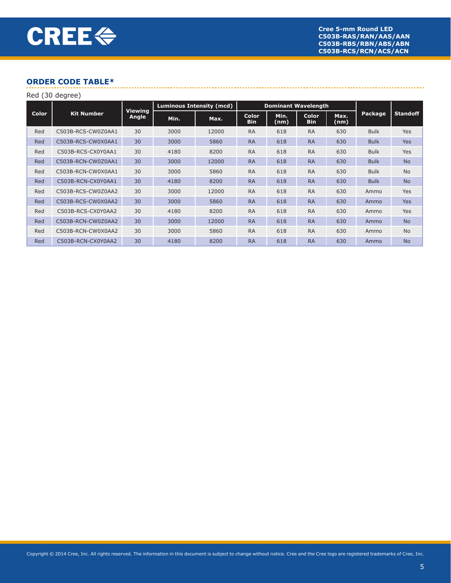| Red (30 degree) |                    |                         |                                 |       |                            |                            |                            |              |             |                 |
|-----------------|--------------------|-------------------------|---------------------------------|-------|----------------------------|----------------------------|----------------------------|--------------|-------------|-----------------|
|                 |                    | <b>Viewing</b><br>Angle | <b>Luminous Intensity (mcd)</b> |       |                            | <b>Dominant Wavelength</b> |                            |              |             |                 |
| <b>Color</b>    | <b>Kit Number</b>  |                         | Min.                            | Max.  | <b>Color</b><br><b>Bin</b> | Min.<br>(nm)               | <b>Color</b><br><b>Bin</b> | Max.<br>(nm) | Package     | <b>Standoff</b> |
| Red             | C503B-RCS-CW0Z0AA1 | 30                      | 3000                            | 12000 | <b>RA</b>                  | 618                        | <b>RA</b>                  | 630          | <b>Bulk</b> | <b>Yes</b>      |
| Red             | C503B-RCS-CW0X0AA1 | 30                      | 3000                            | 5860  | <b>RA</b>                  | 618                        | <b>RA</b>                  | 630          | <b>Bulk</b> | <b>Yes</b>      |
| Red             | C503B-RCS-CX0Y0AA1 | 30                      | 4180                            | 8200  | <b>RA</b>                  | 618                        | <b>RA</b>                  | 630          | <b>Bulk</b> | <b>Yes</b>      |
| Red             | C503B-RCN-CW0Z0AA1 | 30                      | 3000                            | 12000 | <b>RA</b>                  | 618                        | <b>RA</b>                  | 630          | <b>Bulk</b> | <b>No</b>       |
| Red             | C503B-RCN-CW0X0AA1 | 30                      | 3000                            | 5860  | <b>RA</b>                  | 618                        | <b>RA</b>                  | 630          | <b>Bulk</b> | <b>No</b>       |
| Red             | C503B-RCN-CX0Y0AA1 | 30                      | 4180                            | 8200  | <b>RA</b>                  | 618                        | <b>RA</b>                  | 630          | <b>Bulk</b> | <b>No</b>       |
| Red             | C503B-RCS-CW0Z0AA2 | 30                      | 3000                            | 12000 | <b>RA</b>                  | 618                        | <b>RA</b>                  | 630          | Ammo        | <b>Yes</b>      |
| Red             | C503B-RCS-CW0X0AA2 | 30                      | 3000                            | 5860  | <b>RA</b>                  | 618                        | <b>RA</b>                  | 630          | Ammo        | <b>Yes</b>      |
| Red             | C503B-RCS-CX0Y0AA2 | 30                      | 4180                            | 8200  | <b>RA</b>                  | 618                        | <b>RA</b>                  | 630          | Ammo        | <b>Yes</b>      |
| Red             | C503B-RCN-CW0Z0AA2 | 30                      | 3000                            | 12000 | <b>RA</b>                  | 618                        | <b>RA</b>                  | 630          | Ammo        | <b>No</b>       |
| Red             | C503B-RCN-CW0X0AA2 | 30                      | 3000                            | 5860  | <b>RA</b>                  | 618                        | <b>RA</b>                  | 630          | Ammo        | <b>No</b>       |
| Red             | C503B-RCN-CX0Y0AA2 | 30                      | 4180                            | 8200  | <b>RA</b>                  | 618                        | <b>RA</b>                  | 630          | Ammo        | <b>No</b>       |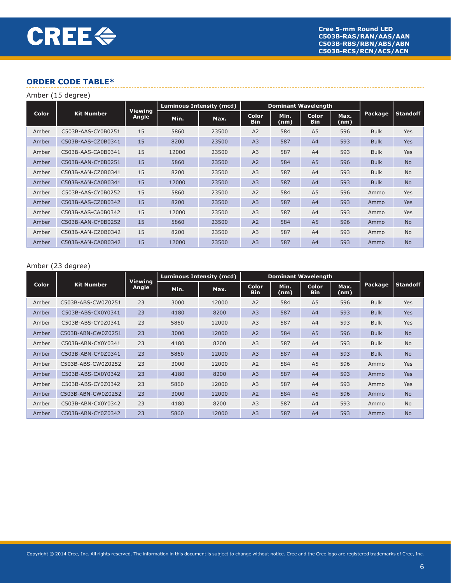| Amber (15 degree) |                    |                         |                                 |       |                            |              |                     |              |             |                 |
|-------------------|--------------------|-------------------------|---------------------------------|-------|----------------------------|--------------|---------------------|--------------|-------------|-----------------|
| Color             |                    | <b>Viewing</b><br>Angle | <b>Luminous Intensity (mcd)</b> |       | <b>Dominant Wavelength</b> |              |                     |              |             |                 |
|                   | <b>Kit Number</b>  |                         | Min.                            | Max.  | <b>Color</b><br><b>Bin</b> | Min.<br>(nm) | Color<br><b>Bin</b> | Max.<br>(nm) | Package     | <b>Standoff</b> |
| Amber             | C503B-AAS-CY0B0251 | 15                      | 5860                            | 23500 | A2                         | 584          | A <sub>5</sub>      | 596          | <b>Bulk</b> | <b>Yes</b>      |
| Amber             | C503B-AAS-CZ0B0341 | 15                      | 8200                            | 23500 | A <sub>3</sub>             | 587          | A <sub>4</sub>      | 593          | <b>Bulk</b> | <b>Yes</b>      |
| Amber             | C503B-AAS-CA0B0341 | 15                      | 12000                           | 23500 | A <sub>3</sub>             | 587          | A4                  | 593          | <b>Bulk</b> | <b>Yes</b>      |
| Amber             | C503B-AAN-CY0B0251 | 15                      | 5860                            | 23500 | A2                         | 584          | A <sub>5</sub>      | 596          | <b>Bulk</b> | <b>No</b>       |
| Amber             | C503B-AAN-CZ0B0341 | 15                      | 8200                            | 23500 | A <sub>3</sub>             | 587          | A4                  | 593          | <b>Bulk</b> | <b>No</b>       |
| Amber             | C503B-AAN-CA0B0341 | 15                      | 12000                           | 23500 | A <sub>3</sub>             | 587          | A <sub>4</sub>      | 593          | <b>Bulk</b> | <b>No</b>       |
| Amber             | C503B-AAS-CY0B0252 | 15                      | 5860                            | 23500 | A <sub>2</sub>             | 584          | A <sub>5</sub>      | 596          | Ammo        | <b>Yes</b>      |
| Amber             | C503B-AAS-CZ0B0342 | 15                      | 8200                            | 23500 | A <sub>3</sub>             | 587          | A <sup>4</sup>      | 593          | Ammo        | <b>Yes</b>      |
| Amber             | C503B-AAS-CA0B0342 | 15                      | 12000                           | 23500 | A <sub>3</sub>             | 587          | A4                  | 593          | Ammo        | <b>Yes</b>      |
| Amber             | C503B-AAN-CY0B0252 | 15                      | 5860                            | 23500 | A2                         | 584          | A <sub>5</sub>      | 596          | Ammo        | <b>No</b>       |
| Amber             | C503B-AAN-CZ0B0342 | 15                      | 8200                            | 23500 | A <sub>3</sub>             | 587          | A4                  | 593          | Ammo        | <b>No</b>       |
| Amber             | C503B-AAN-CA0B0342 | 15                      | 12000                           | 23500 | A <sub>3</sub>             | 587          | A4                  | 593          | Ammo        | <b>No</b>       |

#### Amber (23 degree)

|              | <b>Kit Number</b>  | <b>Viewing</b><br>Angle | <b>Luminous Intensity (mcd)</b> |       | <b>Dominant Wavelength</b> |              |                            |              |             |                 |
|--------------|--------------------|-------------------------|---------------------------------|-------|----------------------------|--------------|----------------------------|--------------|-------------|-----------------|
| <b>Color</b> |                    |                         | Min.                            | Max.  | <b>Color</b><br><b>Bin</b> | Min.<br>(nm) | <b>Color</b><br><b>Bin</b> | Max.<br>(nm) | Package     | <b>Standoff</b> |
| Amber        | C503B-ABS-CW0Z0251 | 23                      | 3000                            | 12000 | A <sub>2</sub>             | 584          | A <sub>5</sub>             | 596          | <b>Bulk</b> | <b>Yes</b>      |
| Amber        | C503B-ABS-CX0Y0341 | 23                      | 4180                            | 8200  | A <sub>3</sub>             | 587          | A <sup>4</sup>             | 593          | <b>Bulk</b> | <b>Yes</b>      |
| Amber        | C503B-ABS-CY0Z0341 | 23                      | 5860                            | 12000 | A <sub>3</sub>             | 587          | A <sup>4</sup>             | 593          | <b>Bulk</b> | Yes             |
| Amber        | C503B-ABN-CW0Z0251 | 23                      | 3000                            | 12000 | A <sub>2</sub>             | 584          | A <sub>5</sub>             | 596          | <b>Bulk</b> | <b>No</b>       |
| Amber        | C503B-ABN-CX0Y0341 | 23                      | 4180                            | 8200  | A <sub>3</sub>             | 587          | A <sup>4</sup>             | 593          | <b>Bulk</b> | <b>No</b>       |
| Amber        | C503B-ABN-CY0Z0341 | 23                      | 5860                            | 12000 | A <sub>3</sub>             | 587          | A <sup>4</sup>             | 593          | <b>Bulk</b> | <b>No</b>       |
| Amber        | C503B-ABS-CW0Z0252 | 23                      | 3000                            | 12000 | A <sub>2</sub>             | 584          | A <sub>5</sub>             | 596          | Ammo        | Yes             |
| Amber        | C503B-ABS-CX0Y0342 | 23                      | 4180                            | 8200  | A <sub>3</sub>             | 587          | A <sup>4</sup>             | 593          | Ammo        | <b>Yes</b>      |
| Amber        | C503B-ABS-CY0Z0342 | 23                      | 5860                            | 12000 | A <sub>3</sub>             | 587          | A <sup>4</sup>             | 593          | Ammo        | Yes             |
| Amber        | C503B-ABN-CW0Z0252 | 23                      | 3000                            | 12000 | A <sub>2</sub>             | 584          | A <sub>5</sub>             | 596          | Ammo        | <b>No</b>       |
| Amber        | C503B-ABN-CX0Y0342 | 23                      | 4180                            | 8200  | A <sub>3</sub>             | 587          | A <sup>4</sup>             | 593          | Ammo        | <b>No</b>       |
| Amber        | C503B-ABN-CY0Z0342 | 23                      | 5860                            | 12000 | A <sub>3</sub>             | 587          | A4                         | 593          | Ammo        | <b>No</b>       |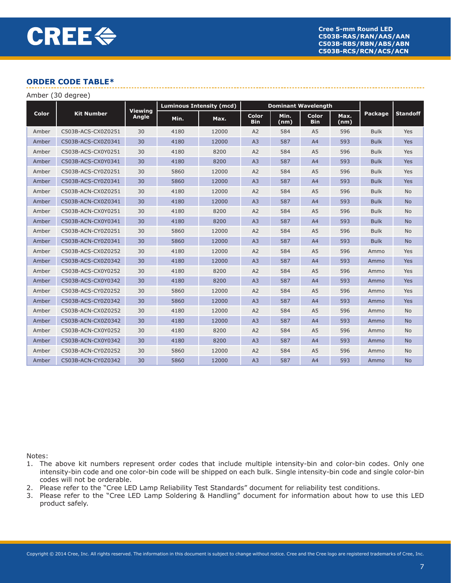| Amber (30 degree) |                    |                         |                                 |       |                            |              |                            |              |             |                 |
|-------------------|--------------------|-------------------------|---------------------------------|-------|----------------------------|--------------|----------------------------|--------------|-------------|-----------------|
|                   |                    | <b>Viewing</b><br>Angle | <b>Luminous Intensity (mcd)</b> |       | <b>Dominant Wavelength</b> |              |                            |              |             |                 |
| Color             | <b>Kit Number</b>  |                         | Min.                            | Max.  | Color<br><b>Bin</b>        | Min.<br>(nm) | <b>Color</b><br><b>Bin</b> | Max.<br>(nm) | Package     | <b>Standoff</b> |
| Amber             | C503B-ACS-CX0Z0251 | 30                      | 4180                            | 12000 | A2                         | 584          | A <sub>5</sub>             | 596          | <b>Bulk</b> | Yes             |
| Amber             | C503B-ACS-CX0Z0341 | 30                      | 4180                            | 12000 | A3                         | 587          | A4                         | 593          | <b>Bulk</b> | Yes             |
| Amber             | C503B-ACS-CX0Y0251 | 30                      | 4180                            | 8200  | A2                         | 584          | A <sub>5</sub>             | 596          | <b>Bulk</b> | Yes             |
| Amber             | C503B-ACS-CX0Y0341 | 30                      | 4180                            | 8200  | A3                         | 587          | A4                         | 593          | <b>Bulk</b> | Yes             |
| Amber             | C503B-ACS-CY0Z0251 | 30                      | 5860                            | 12000 | A2                         | 584          | A <sub>5</sub>             | 596          | <b>Bulk</b> | Yes             |
| Amber             | C503B-ACS-CY0Z0341 | 30                      | 5860                            | 12000 | A3                         | 587          | A4                         | 593          | <b>Bulk</b> | Yes             |
| Amber             | C503B-ACN-CX0Z0251 | 30                      | 4180                            | 12000 | A2                         | 584          | A <sub>5</sub>             | 596          | <b>Bulk</b> | <b>No</b>       |
| Amber             | C503B-ACN-CX0Z0341 | 30                      | 4180                            | 12000 | A <sub>3</sub>             | 587          | A <sup>4</sup>             | 593          | <b>Bulk</b> | <b>No</b>       |
| Amber             | C503B-ACN-CX0Y0251 | 30                      | 4180                            | 8200  | A2                         | 584          | A <sub>5</sub>             | 596          | <b>Bulk</b> | <b>No</b>       |
| Amber             | C503B-ACN-CX0Y0341 | 30                      | 4180                            | 8200  | A3                         | 587          | A <sup>4</sup>             | 593          | <b>Bulk</b> | <b>No</b>       |
| Amber             | C503B-ACN-CY0Z0251 | 30                      | 5860                            | 12000 | A2                         | 584          | A <sub>5</sub>             | 596          | <b>Bulk</b> | <b>No</b>       |
| Amber             | C503B-ACN-CY0Z0341 | 30                      | 5860                            | 12000 | A3                         | 587          | A4                         | 593          | <b>Bulk</b> | <b>No</b>       |
| Amber             | C503B-ACS-CX0Z0252 | 30                      | 4180                            | 12000 | A2                         | 584          | A <sub>5</sub>             | 596          | Ammo        | Yes             |
| Amber             | C503B-ACS-CX0Z0342 | 30                      | 4180                            | 12000 | A3                         | 587          | A4                         | 593          | Ammo        | Yes             |
| Amber             | C503B-ACS-CX0Y0252 | 30                      | 4180                            | 8200  | A2                         | 584          | A <sub>5</sub>             | 596          | Ammo        | Yes             |
| Amber             | C503B-ACS-CX0Y0342 | 30                      | 4180                            | 8200  | A3                         | 587          | A4                         | 593          | Ammo        | Yes             |
| Amber             | C503B-ACS-CY0Z0252 | 30                      | 5860                            | 12000 | A2                         | 584          | A <sub>5</sub>             | 596          | Ammo        | Yes             |
| Amber             | C503B-ACS-CY0Z0342 | 30                      | 5860                            | 12000 | A3                         | 587          | A4                         | 593          | Ammo        | Yes             |
| Amber             | C503B-ACN-CX0Z0252 | 30                      | 4180                            | 12000 | A2                         | 584          | A <sub>5</sub>             | 596          | Ammo        | <b>No</b>       |
| Amber             | C503B-ACN-CX0Z0342 | 30                      | 4180                            | 12000 | A <sub>3</sub>             | 587          | A <sup>4</sup>             | 593          | Ammo        | <b>No</b>       |
| Amber             | C503B-ACN-CX0Y0252 | 30                      | 4180                            | 8200  | A2                         | 584          | A <sub>5</sub>             | 596          | Ammo        | <b>No</b>       |
| Amber             | C503B-ACN-CX0Y0342 | 30                      | 4180                            | 8200  | A3                         | 587          | A4                         | 593          | Ammo        | <b>No</b>       |
| Amber             | C503B-ACN-CY0Z0252 | 30                      | 5860                            | 12000 | A2                         | 584          | A <sub>5</sub>             | 596          | Ammo        | <b>No</b>       |
| Amber             | C503B-ACN-CY0Z0342 | 30                      | 5860                            | 12000 | A <sub>3</sub>             | 587          | A4                         | 593          | Ammo        | <b>No</b>       |

Notes:

- 1. The above kit numbers represent order codes that include multiple intensity-bin and color-bin codes. Only one intensity-bin code and one color-bin code will be shipped on each bulk. Single intensity-bin code and single color-bin codes will not be orderable.
- 2. Please refer to the "Cree LED Lamp Reliability Test Standards" document for reliability test conditions.
- 3. Please refer to the "Cree LED Lamp Soldering & Handling" document for information about how to use this LED product safely.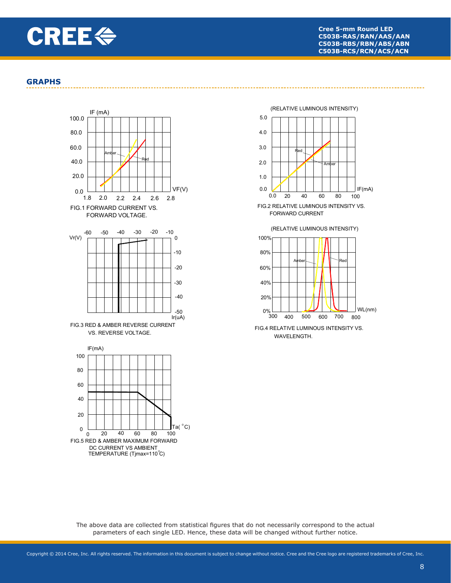

#### **GRAPHS**





FORWARD CURRENT

(RELATIVE LUMINOUS INTENSITY)



WAVELENGTH.

The above data are collected from statistical figures that do not necessarily correspond to the actual parameters of each single LED. Hence, these data will be changed without further notice.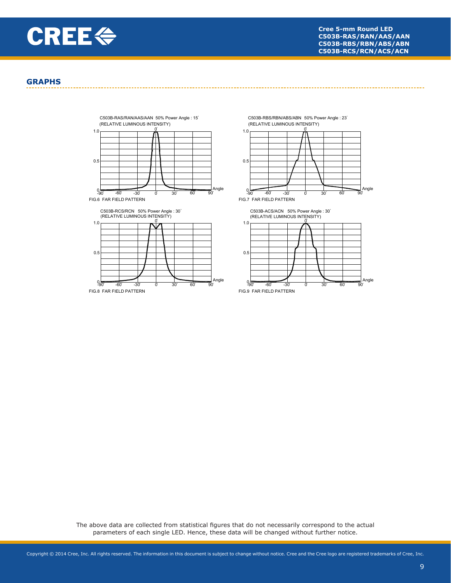

#### **GRAPHS**



C503B-RBS/RBN/ABS/ABN 50% Power Angle: 23





The above data are collected from statistical figures that do not necessarily correspond to the actual parameters of each single LED. Hence, these data will be changed without further notice.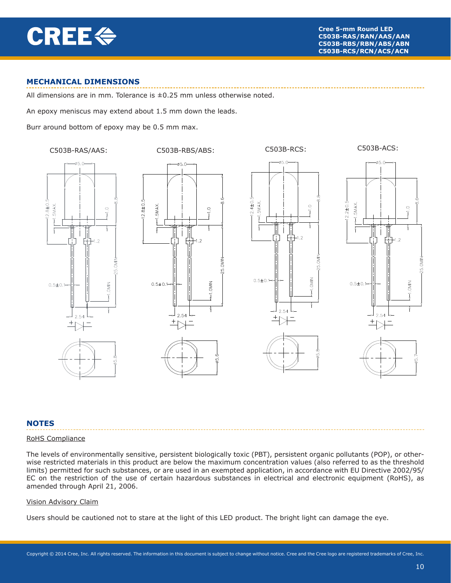

# **MECHANICAL DIMENSIONS**

All dimensions are in mm. Tolerance is  $\pm 0.25$  mm unless otherwise noted.

An epoxy meniscus may extend about 1.5 mm down the leads.

Burr around bottom of epoxy may be 0.5 mm max.







# **NOTES**

#### RoHS Compliance

The levels of environmentally sensitive, persistent biologically toxic (PBT), persistent organic pollutants (POP), or otherwise restricted materials in this product are below the maximum concentration values (also referred to as the threshold limits) permitted for such substances, or are used in an exempted application, in accordance with EU Directive 2002/95/ EC on the restriction of the use of certain hazardous substances in electrical and electronic equipment (RoHS), as amended through April 21, 2006.

ΣÑ

 $-1.0$ MIN

#### Vision Advisory Claim

Users should be cautioned not to stare at the light of this LED product. The bright light can damage the eye.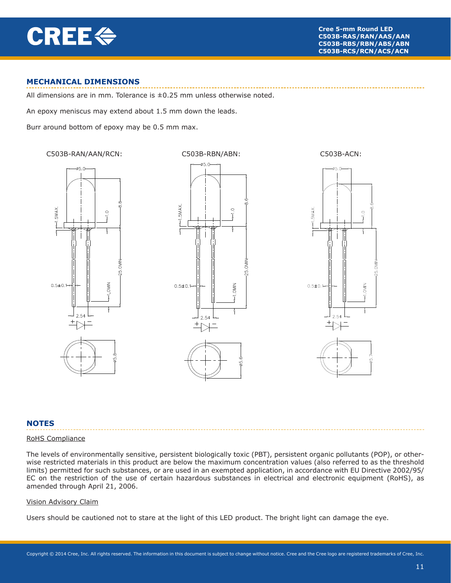

# **MECHANICAL DIMENSIONS**

All dimensions are in mm. Tolerance is  $\pm 0.25$  mm unless otherwise noted.

An epoxy meniscus may extend about 1.5 mm down the leads.

Burr around bottom of epoxy may be 0.5 mm max.







### **NOTES**

#### RoHS Compliance

The levels of environmentally sensitive, persistent biologically toxic (PBT), persistent organic pollutants (POP), or otherwise restricted materials in this product are below the maximum concentration values (also referred to as the threshold limits) permitted for such substances, or are used in an exempted application, in accordance with EU Directive 2002/95/ EC on the restriction of the use of certain hazardous substances in electrical and electronic equipment (RoHS), as amended through April 21, 2006.

#### Vision Advisory Claim

Users should be cautioned not to stare at the light of this LED product. The bright light can damage the eye.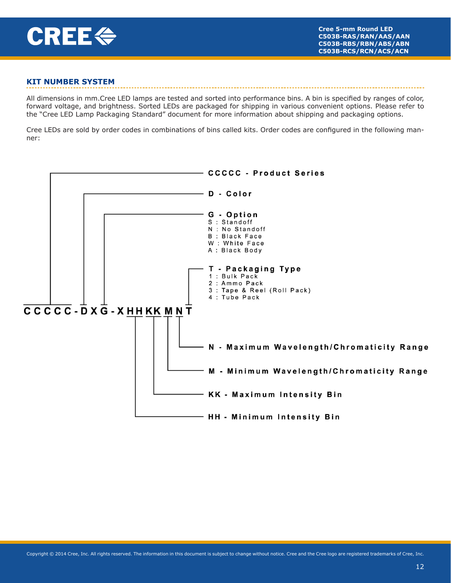

# **KIT NUMBER SYSTEM**

All dimensions in mm.Cree LED lamps are tested and sorted into performance bins. A bin is specified by ranges of color, forward voltage, and brightness. Sorted LEDs are packaged for shipping in various convenient options. Please refer to the "Cree LED Lamp Packaging Standard" document for more information about shipping and packaging options.

Cree LEDs are sold by order codes in combinations of bins called kits. Order codes are configured in the following manner: